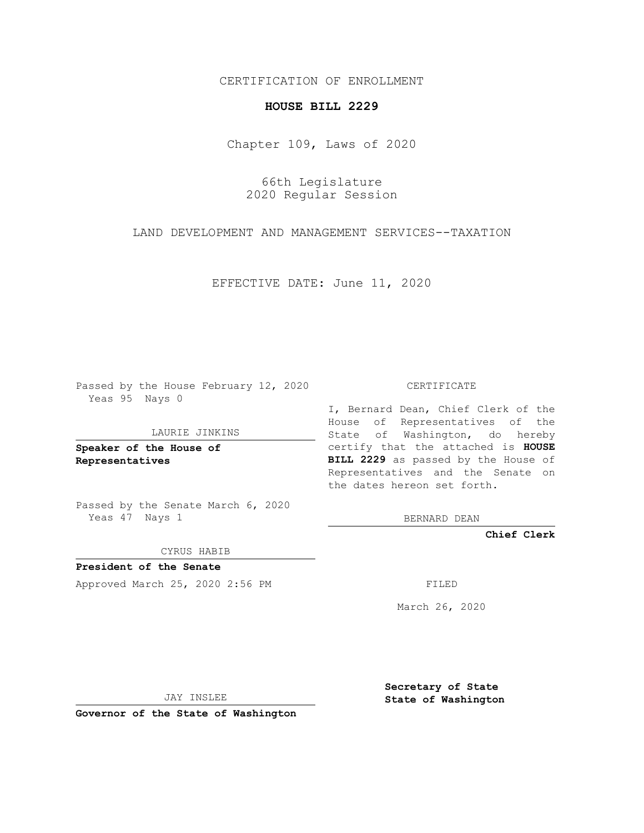CERTIFICATION OF ENROLLMENT

## **HOUSE BILL 2229**

Chapter 109, Laws of 2020

66th Legislature 2020 Regular Session

LAND DEVELOPMENT AND MANAGEMENT SERVICES--TAXATION

EFFECTIVE DATE: June 11, 2020

Passed by the House February 12, 2020 Yeas 95 Nays 0

LAURIE JINKINS

**Speaker of the House of Representatives**

Passed by the Senate March 6, 2020 Yeas 47 Nays 1

CYRUS HABIB

**President of the Senate** Approved March 25, 2020 2:56 PM FILED

CERTIFICATE

I, Bernard Dean, Chief Clerk of the House of Representatives of the State of Washington, do hereby certify that the attached is **HOUSE BILL 2229** as passed by the House of Representatives and the Senate on the dates hereon set forth.

BERNARD DEAN

**Chief Clerk**

March 26, 2020

JAY INSLEE

**Governor of the State of Washington**

**Secretary of State State of Washington**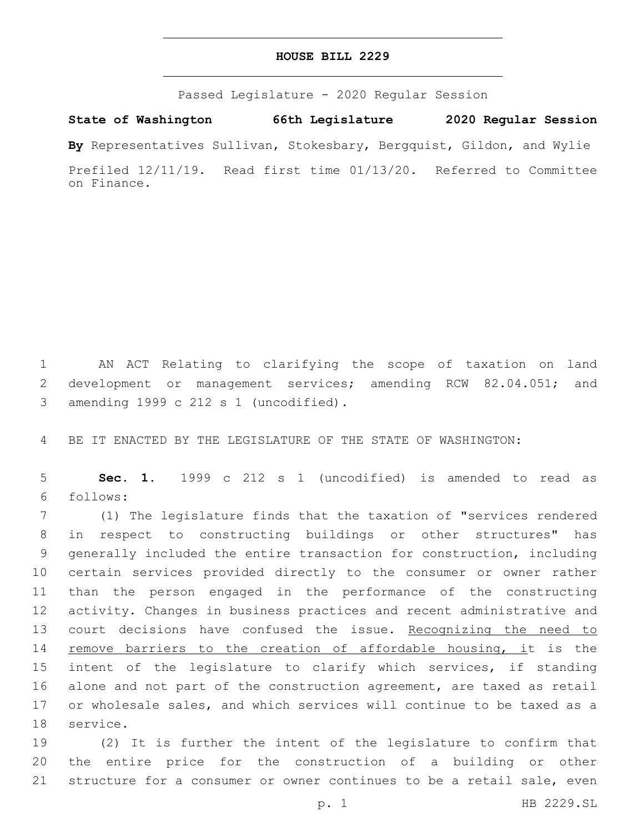## **HOUSE BILL 2229**

Passed Legislature - 2020 Regular Session

**State of Washington 66th Legislature 2020 Regular Session**

**By** Representatives Sullivan, Stokesbary, Bergquist, Gildon, and Wylie

Prefiled 12/11/19. Read first time 01/13/20. Referred to Committee on Finance.

1 AN ACT Relating to clarifying the scope of taxation on land 2 development or management services; amending RCW 82.04.051; and amending 1999 c 212 s 1 (uncodified).3

4 BE IT ENACTED BY THE LEGISLATURE OF THE STATE OF WASHINGTON:

5 **Sec. 1.** 1999 c 212 s 1 (uncodified) is amended to read as follows:6

 (1) The legislature finds that the taxation of "services rendered in respect to constructing buildings or other structures" has generally included the entire transaction for construction, including certain services provided directly to the consumer or owner rather than the person engaged in the performance of the constructing activity. Changes in business practices and recent administrative and 13 court decisions have confused the issue. Recognizing the need to 14 remove barriers to the creation of affordable housing, it is the intent of the legislature to clarify which services, if standing alone and not part of the construction agreement, are taxed as retail or wholesale sales, and which services will continue to be taxed as a 18 service.

19 (2) It is further the intent of the legislature to confirm that 20 the entire price for the construction of a building or other 21 structure for a consumer or owner continues to be a retail sale, even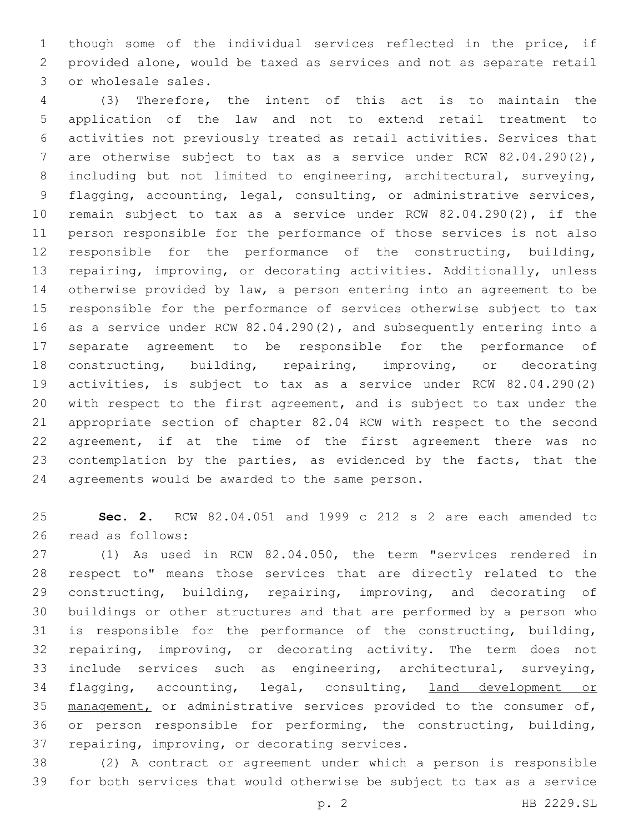though some of the individual services reflected in the price, if provided alone, would be taxed as services and not as separate retail 3 or wholesale sales.

 (3) Therefore, the intent of this act is to maintain the application of the law and not to extend retail treatment to activities not previously treated as retail activities. Services that are otherwise subject to tax as a service under RCW 82.04.290(2), including but not limited to engineering, architectural, surveying, flagging, accounting, legal, consulting, or administrative services, remain subject to tax as a service under RCW 82.04.290(2), if the person responsible for the performance of those services is not also responsible for the performance of the constructing, building, repairing, improving, or decorating activities. Additionally, unless otherwise provided by law, a person entering into an agreement to be responsible for the performance of services otherwise subject to tax as a service under RCW 82.04.290(2), and subsequently entering into a separate agreement to be responsible for the performance of constructing, building, repairing, improving, or decorating activities, is subject to tax as a service under RCW 82.04.290(2) with respect to the first agreement, and is subject to tax under the appropriate section of chapter 82.04 RCW with respect to the second agreement, if at the time of the first agreement there was no 23 contemplation by the parties, as evidenced by the facts, that the 24 agreements would be awarded to the same person.

 **Sec. 2.** RCW 82.04.051 and 1999 c 212 s 2 are each amended to 26 read as follows:

 (1) As used in RCW 82.04.050, the term "services rendered in respect to" means those services that are directly related to the constructing, building, repairing, improving, and decorating of buildings or other structures and that are performed by a person who is responsible for the performance of the constructing, building, repairing, improving, or decorating activity. The term does not include services such as engineering, architectural, surveying, flagging, accounting, legal, consulting, land development or 35 management, or administrative services provided to the consumer of, or person responsible for performing, the constructing, building, 37 repairing, improving, or decorating services.

 (2) A contract or agreement under which a person is responsible for both services that would otherwise be subject to tax as a service